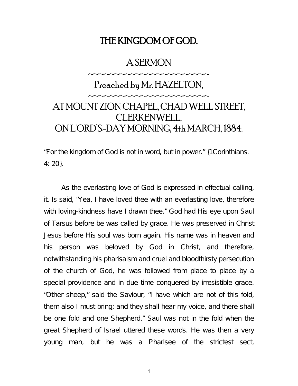## THE KINGDOM OF GOD.

## A SERMON

~~~~~~~~~~~~~~~~~~~~~

## Preached by Mr. HAZELTON, ~~~~~~~~~~~~~~~~~~~~~ AT MOUNT ZION CHAPEL, CHAD WELL STREET, CLERKENWELL, ON L'ORD'S-DAY MORNING, 4th MARCH, 1884.

"For the kingdom of God is not in word, but in power." {1Corinthians. 4: 20}.

As the everlasting love of God is expressed in effectual calling, it. Is said, "Yea, I have loved thee with an everlasting love, therefore with loving-kindness have I drawn thee." God had His eye upon Saul of Tarsus before be was called by grace. He was preserved in Christ Jesus before His soul was born again. His name was in heaven and his person was beloved by God in Christ, and therefore, notwithstanding his pharisaism and cruel and bloodthirsty persecution of the church of God, he was followed from place to place by a special providence and in due time conquered by irresistible grace. "Other sheep," said the Saviour, "I have which are not of this fold, them also I must bring; and they shall hear my voice, and there shall be one fold and one Shepherd." Saul was not in the fold when the great Shepherd of Israel uttered these words. He was then a very young man, but he was a Pharisee of the strictest sect,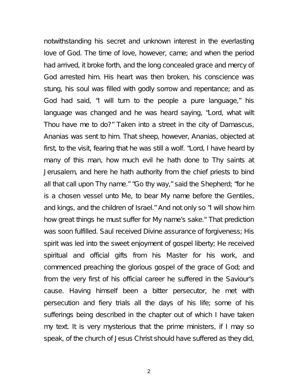notwithstanding his secret and unknown interest in the everlasting love of God. The time of love, however, came; and when the period had arrived, it broke forth, and the long concealed grace and mercy of God arrested him. His heart was then broken, his conscience was stung, his soul was filled with godly sorrow and repentance; and as God had said, "I will turn to the people a pure language," his language was changed and he was heard saying, "Lord, what wilt Thou have me to do?" Taken into a street in the city of Damascus, Ananias was sent to him. That sheep, however, Ananias, objected at first, to the visit, fearing that he was still a wolf. "Lord, I have heard by many of this man, how much evil he hath done to Thy saints at Jerusalem, and here he hath authority from the chief priests to bind all that call upon Thy name." "Go thy way," said the Shepherd; "for he is a chosen vessel unto Me, to bear My name before the Gentiles, and kings, and the children of Israel." And not only so "I will show him how great things he must suffer for My name's sake." That prediction was soon fulfilled. Saul received Divine assurance of forgiveness; His spirit was led into the sweet enjoyment of gospel liberty; He received spiritual and official gifts from his Master for his work, and commenced preaching the glorious gospel of the grace of God; and from the very first of his official career he suffered in the Saviour's cause. Having himself been a bitter persecutor, he met with persecution and fiery trials all the days of his life; some of his sufferings being described in the chapter out of which I have taken my text. It is very mysterious that the prime ministers, if I may so speak, of the church of Jesus Christ should have suffered as they did,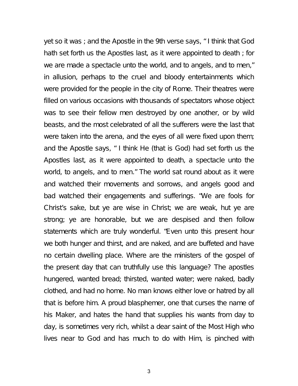yet so it was ; and the Apostle in the 9th verse says, " I think that God hath set forth us the Apostles last, as it were appointed to death ; for we are made a spectacle unto the world, and to angels, and to men," in allusion, perhaps to the cruel and bloody entertainments which were provided for the people in the city of Rome. Their theatres were filled on various occasions with thousands of spectators whose object was to see their fellow men destroyed by one another, or by wild beasts, and the most celebrated of all the sufferers were the last that were taken into the arena, and the eyes of all were fixed upon them; and the Apostle says, " I think He (that is God) had set forth us the Apostles last, as it were appointed to death, a spectacle unto the world, to angels, and to men." The world sat round about as it were and watched their movements and sorrows, and angels good and bad watched their engagements and sufferings. "We are fools for Christ's sake, but ye are wise in Christ; we are weak, hut ye are strong; ye are honorable, but we are despised and then follow statements which are truly wonderful. "Even unto this present hour we both hunger and thirst, and are naked, and are buffeted and have no certain dwelling place. Where are the ministers of the gospel of the present day that can truthfully use this language? The apostles hungered, wanted bread; thirsted, wanted water; were naked, badly clothed, and had no home. No man knows either love or hatred by all that is before him. A proud blasphemer, one that curses the name of his Maker, and hates the hand that supplies his wants from day to day, is sometimes very rich, whilst a dear saint of the Most High who lives near to God and has much to do with Him, is pinched with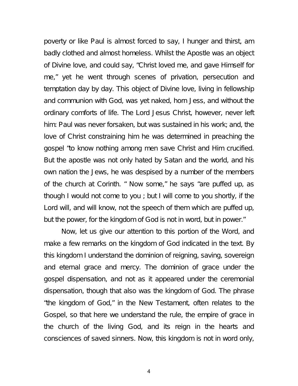poverty or like Paul is almost forced to say, I hunger and thirst, am badly clothed and almost homeless. Whilst the Apostle was an object of Divine love, and could say, "Christ loved me, and gave Himself for me," yet he went through scenes of privation, persecution and temptation day by day. This object of Divine love, living in fellowship and communion with God, was yet naked, horn Jess, and without the ordinary comforts of life. The Lord Jesus Christ, however, never left him: Paul was never forsaken, but was sustained in his work; and, the love of Christ constraining him he was determined in preaching the gospel "to know nothing among men save Christ and Him crucified. But the apostle was not only hated by Satan and the world, and his own nation the Jews, he was despised by a number of the members of the church at Corinth. " Now some," he says "are puffed up, as though I would not come to you ; but I will come to you shortly, if the Lord will, and will know, not the speech of them which are puffed up, but the power, for the kingdom of God is not in word, but in power."

Now, let us give our attention to this portion of the Word, and make a few remarks on the kingdom of God indicated in the text. By this kingdom I understand the dominion of reigning, saving, sovereign and eternal grace and mercy. The dominion of grace under the gospel dispensation, and not as it appeared under the ceremonial dispensation, though that also was the kingdom of God. The phrase "the kingdom of God," in the New Testament, often relates to the Gospel, so that here we understand the rule, the empire of grace in the church of the living God, and its reign in the hearts and consciences of saved sinners. Now, this kingdom is not in word only,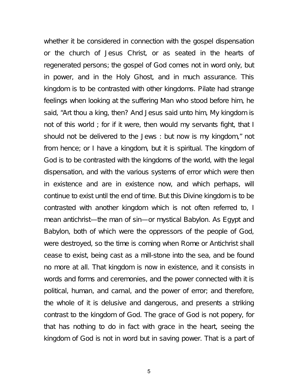whether it be considered in connection with the gospel dispensation or the church of Jesus Christ, or as seated in the hearts of regenerated persons; the gospel of God comes not in word only, but in power, and in the Holy Ghost, and in much assurance. This kingdom is to be contrasted with other kingdoms. Pilate had strange feelings when looking at the suffering Man who stood before him, he said, "Art thou a king, then? And Jesus said unto him, My kingdom is not of this world ; for if it were, then would my servants fight, that I should not be delivered to the Jews : but now is my kingdom," not from hence; or I have a kingdom, but it is spiritual. The kingdom of God is to be contrasted with the kingdoms of the world, with the legal dispensation, and with the various systems of error which were then in existence and are in existence now, and which perhaps, will continue to exist until the end of time. But this Divine kingdom is to be contrasted with another kingdom which is not often referred to, I mean antichrist—the man of sin—or mystical Babylon. As Egypt and Babylon, both of which were the oppressors of the people of God, were destroyed, so the time is coming when Rome or Antichrist shall cease to exist, being cast as a mill-stone into the sea, and be found no more at all. That kingdom is now in existence, and it consists in words and forms and ceremonies, and the power connected with it is political, human, and carnal, and the power of error; and therefore, the whole of it is delusive and dangerous, and presents a striking contrast to the kingdom of God. The grace of God is not popery, for that has nothing to do in fact with grace in the heart, seeing the kingdom of God is not in word but in saving power. That is a part of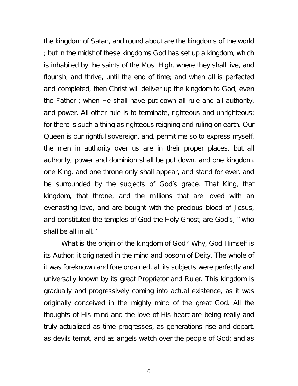the kingdom of Satan, and round about are the kingdoms of the world ; but in the midst of these kingdoms God has set up a kingdom, which is inhabited by the saints of the Most High, where they shall live, and flourish, and thrive, until the end of time; and when all is perfected and completed, then Christ will deliver up the kingdom to God, even the Father ; when He shall have put down all rule and all authority, and power. All other rule is to terminate, righteous and unrighteous; for there is such a thing as righteous reigning and ruling on earth. Our Queen is our rightful sovereign, and, permit me so to express myself, the men in authority over us are in their proper places, but all authority, power and dominion shall be put down, and one kingdom, one King, and one throne only shall appear, and stand for ever, and be surrounded by the subjects of God's grace. That King, that kingdom, that throne, and the millions that are loved with an everlasting love, and are bought with the precious blood of Jesus, and constituted the temples of God the Holy Ghost, are God's, " who shall be all in all."

What is the origin of the kingdom of God? Why, God Himself is its Author: it originated in the mind and bosom of Deity. The whole of it was foreknown and fore ordained, all its subjects were perfectly and universally known by its great Proprietor and Ruler. This kingdom is gradually and progressively coming into actual existence, as it was originally conceived in the mighty mind of the great God. All the thoughts of His mind and the love of His heart are being really and truly actualized as time progresses, as generations rise and depart, as devils tempt, and as angels watch over the people of God; and as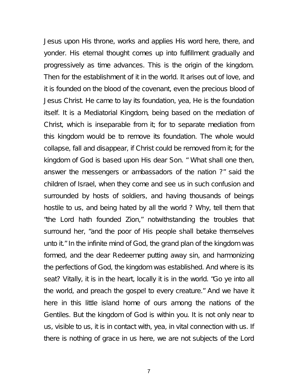Jesus upon His throne, works and applies His word here, there, and yonder. His eternal thought comes up into fulfillment gradually and progressively as time advances. This is the origin of the kingdom. Then for the establishment of it in the world. It arises out of love, and it is founded on the blood of the covenant, even the precious blood of Jesus Christ. He came to lay its foundation, yea, He is the foundation itself. It is a Mediatorial Kingdom, being based on the mediation of Christ, which is inseparable from it; for to separate mediation from this kingdom would be to remove its foundation. The whole would collapse, fall and disappear, if Christ could be removed from it; for the kingdom of God is based upon His dear Son. " What shall one then, answer the messengers or ambassadors of the nation ?" said the children of Israel, when they come and see us in such confusion and surrounded by hosts of soldiers, and having thousands of beings hostile to us, and being hated by all the world ? Why, tell them that "the Lord hath founded Zion," notwithstanding the troubles that surround her, "and the poor of His people shall betake themselves unto it." In the infinite mind of God, the grand plan of the kingdom was formed, and the dear Redeemer putting away sin, and harmonizing the perfections of God, the kingdom was established. And where is its seat? Vitally, it is in the heart, locally it is in the world. "Go ye into all the world, and preach the gospel to every creature." And we have it here in this little island home of ours among the nations of the Gentiles. But the kingdom of God is within you. It is not only near to us, visible to us, it is in contact with, yea, in vital connection with us. If there is nothing of grace in us here, we are not subjects of the Lord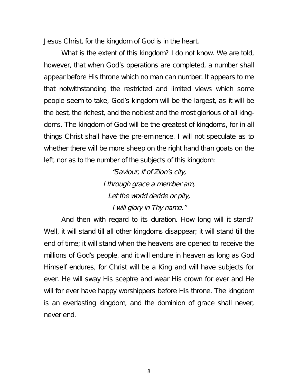Jesus Christ, for the kingdom of God is in the heart.

What is the extent of this kingdom? I do not know. We are told, however, that when God's operations are completed, a number shall appear before His throne which no man can number. It appears to me that notwithstanding the restricted and limited views which some people seem to take, God's kingdom will be the largest, as it will be the best, the richest, and the noblest and the most glorious of all kingdoms. The kingdom of God will be the greatest of kingdoms, for in all things Christ shall have the pre-eminence. I will not speculate as to whether there will be more sheep on the right hand than goats on the left, nor as to the number of the subjects of this kingdom:

> "Saviour, if of Zion's city, <sup>I</sup> through grace <sup>a</sup> member am, Let the world deride or pity, <sup>I</sup> will glory in Thy name."

And then with regard to its duration. How long will it stand? Well, it will stand till all other kingdoms disappear; it will stand till the end of time; it will stand when the heavens are opened to receive the millions of God's people, and it will endure in heaven as long as God Himself endures, for Christ will be a King and will have subjects for ever. He will sway His sceptre and wear His crown for ever and He will for ever have happy worshippers before His throne. The kingdom is an everlasting kingdom, and the dominion of grace shall never, never end.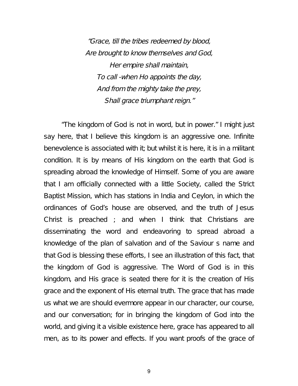"Grace, till the tribes redeemed by blood, Are brought to know themselves and God, Her empire shall maintain, To call -when Ho appoints the day, And from the mighty take the prey, Shall grace triumphant reign."

"The kingdom of God is not in word, but in power." I might just say here, that I believe this kingdom is an aggressive one. Infinite benevolence is associated with it; but whilst it is here, it is in a militant condition. It is by means of His kingdom on the earth that God is spreading abroad the knowledge of Himself. Some of you are aware that I am officially connected with a little Society, called the Strict Baptist Mission, which has stations in India and Ceylon, in which the ordinances of God's house are observed, and the truth of Jesus Christ is preached ; and when I think that Christians are disseminating the word and endeavoring to spread abroad a knowledge of the plan of salvation and of the Saviour s name and that God is blessing these efforts, I see an illustration of this fact, that the kingdom of God is aggressive. The Word of God is in this kingdom, and His grace is seated there for it is the creation of His grace and the exponent of His eternal truth. The grace that has made us what we are should evermore appear in our character, our course, and our conversation; for in bringing the kingdom of God into the world, and giving it a visible existence here, grace has appeared to all men, as to its power and effects. If you want proofs of the grace of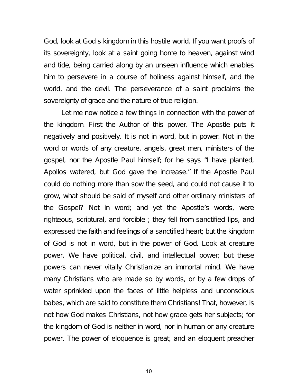God, look at God s kingdom in this hostile world. If you want proofs of its sovereignty, look at a saint going home to heaven, against wind and tide, being carried along by an unseen influence which enables him to persevere in a course of holiness against himself, and the world, and the devil. The perseverance of a saint proclaims the sovereignty of grace and the nature of true religion.

Let me now notice a few things in connection with the power of the kingdom. First the Author of this power. The Apostle puts it negatively and positively. It is not in word, but in power. Not in the word or words of any creature, angels, great men, ministers of the gospel, nor the Apostle Paul himself; for he says "I have planted, Apollos watered, but God gave the increase." If the Apostle Paul could do nothing more than sow the seed, and could not cause it to grow, what should be said of myself and other ordinary ministers of the Gospel? Not in word; and yet the Apostle's words, were righteous, scriptural, and forcible ; they fell from sanctified lips, and expressed the faith and feelings of a sanctified heart; but the kingdom of God is not in word, but in the power of God. Look at creature power. We have political, civil, and intellectual power; but these powers can never vitally Christianize an immortal mind. We have many Christians who are made so by words, or by a few drops of water sprinkled upon the faces of little helpless and unconscious babes, which are said to constitute them Christians! That, however, is not how God makes Christians, not how grace gets her subjects; for the kingdom of God is neither in word, nor in human or any creature power. The power of eloquence is great, and an eloquent preacher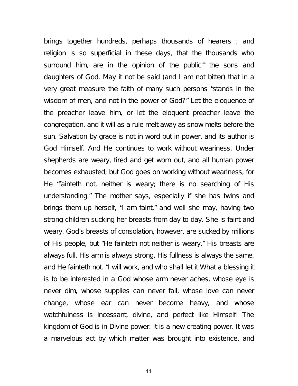brings together hundreds, perhaps thousands of hearers ; and religion is so superficial in these days, that the thousands who surround him, are in the opinion of the public<sup>^</sup> the sons and daughters of God. May it not be said (and I am not bitter) that in a very great measure the faith of many such persons "stands in the wisdom of men, and not in the power of God?" Let the eloquence of the preacher leave him, or let the eloquent preacher leave the congregation, and it will as a rule melt away as snow melts before the sun. Salvation by grace is not in word but in power, and its author is God Himself. And He continues to work without weariness. Under shepherds are weary, tired and get worn out, and all human power becomes exhausted; but God goes on working without weariness, for He "fainteth not, neither is weary; there is no searching of His understanding." The mother says, especially if she has twins and brings them up herself, "I am faint," and well she may, having two strong children sucking her breasts from day to day. She is faint and weary. God's breasts of consolation, however, are sucked by millions of His people, but "He fainteth not neither is weary." His breasts are always full, His arm is always strong, His fullness is always the same, and He fainteth not. "I will work, and who shall let it What a blessing it is to be interested in a God whose arm never aches, whose eye is never dim, whose supplies can never fail, whose love can never change, whose ear can never become heavy, and whose watchfulness is incessant, divine, and perfect like Himself! The kingdom of God is in Divine power. It is a new creating power. It was a marvelous act by which matter was brought into existence, and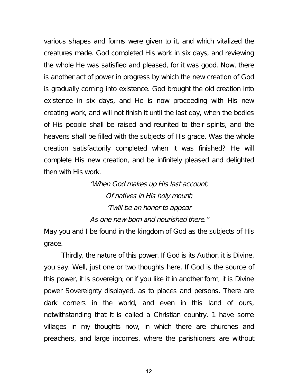various shapes and forms were given to it, and which vitalized the creatures made. God completed His work in six days, and reviewing the whole He was satisfied and pleased, for it was good. Now, there is another act of power in progress by which the new creation of God is gradually coming into existence. God brought the old creation into existence in six days, and He is now proceeding with His new creating work, and will not finish it until the last day, when the bodies of His people shall be raised and reunited to their spirits, and the heavens shall be filled with the subjects of His grace. Was the whole creation satisfactorily completed when it was finished? He will complete His new creation, and be infinitely pleased and delighted then with His work.

> "When God makes up His last account, Of natives in His holy mount; 'Twill be an honor to appear As one new-born and nourished there."

May you and I be found in the kingdom of God as the subjects of His grace.

Thirdly, the nature of this power. If God is its Author, it is Divine, you say. Well, just one or two thoughts here. If God is the source of this power, it is sovereign; or if you like it in another form, it is Divine power Sovereignty displayed, as to places and persons. There are dark corners in the world, and even in this land of ours, notwithstanding that it is called a Christian country. 1 have some villages in my thoughts now, in which there are churches and preachers, and large incomes, where the parishioners are without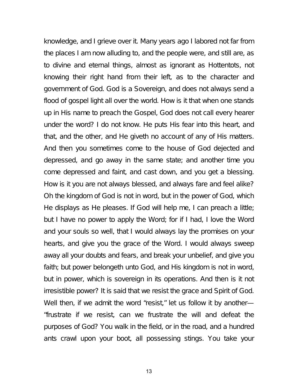knowledge, and I grieve over it. Many years ago I labored not far from the places I am now alluding to, and the people were, and still are, as to divine and eternal things, almost as ignorant as Hottentots, not knowing their right hand from their left, as to the character and government of God. God is a Sovereign, and does not always send a flood of gospel light all over the world. How is it that when one stands up in His name to preach the Gospel, God does not call every hearer under the word? I do not know. He puts His fear into this heart, and that, and the other, and He giveth no account of any of His matters. And then you sometimes come to the house of God dejected and depressed, and go away in the same state; and another time you come depressed and faint, and cast down, and you get a blessing. How is it you are not always blessed, and always fare and feel alike? Oh the kingdom of God is not in word, but in the power of God, which He displays as He pleases. If God will help me, I can preach a little; but I have no power to apply the Word; for if I had, I love the Word and your souls so well, that I would always lay the promises on your hearts, and give you the grace of the Word. I would always sweep away all your doubts and fears, and break your unbelief, and give you faith; but power belongeth unto God, and His kingdom is not in word, but in power, which is sovereign in its operations. And then is it not irresistible power? It is said that we resist the grace and Spirit of God. Well then, if we admit the word "resist," let us follow it by another— "frustrate if we resist, can we frustrate the will and defeat the purposes of God? You walk in the field, or in the road, and a hundred ants crawl upon your boot, all possessing stings. You take your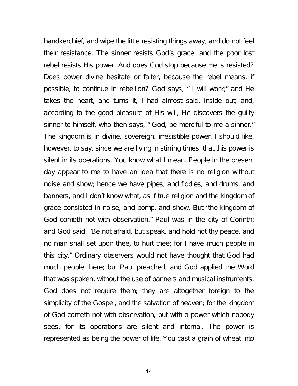handkerchief, and wipe the little resisting things away, and do not feel their resistance. The sinner resists God's grace, and the poor lost rebel resists His power. And does God stop because He is resisted? Does power divine hesitate or falter, because the rebel means, if possible, to continue in rebellion? God says, " I will work;" and He takes the heart, and turns it, I had almost said, inside out; and, according to the good pleasure of His will, He discovers the guilty sinner to himself, who then says, " God, be merciful to me a sinner." The kingdom is in divine, sovereign, irresistible power. I should like, however, to say, since we are living in stirring times, that this power is silent in its operations. You know what I mean. People in the present day appear to me to have an idea that there is no religion without noise and show; hence we have pipes, and fiddles, and drums, and banners, and I don't know what, as if true religion and the kingdom of grace consisted in noise, and pomp, and show. But "the kingdom of God cometh not with observation." Paul was in the city of Corinth; and God said, "Be not afraid, but speak, and hold not thy peace, and no man shall set upon thee, to hurt thee; for I have much people in this city." Ordinary observers would not have thought that God had much people there; but Paul preached, and God applied the Word that was spoken, without the use of banners and musical instruments. God does not require them; they are altogether foreign to the simplicity of the Gospel, and the salvation of heaven; for the kingdom of God cometh not with observation, but with a power which nobody sees, for its operations are silent and internal. The power is represented as being the power of life. You cast a grain of wheat into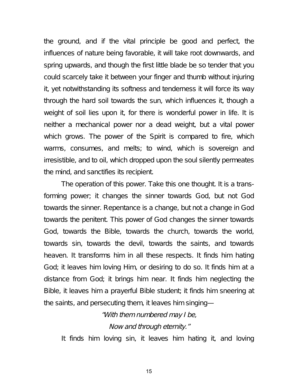the ground, and if the vital principle be good and perfect, the influences of nature being favorable, it will take root downwards, and spring upwards, and though the first little blade be so tender that you could scarcely take it between your finger and thumb without injuring it, yet notwithstanding its softness and tenderness it will force its way through the hard soil towards the sun, which influences it, though a weight of soil lies upon it, for there is wonderful power in life. It is neither a mechanical power nor a dead weight, but a vital power which grows. The power of the Spirit is compared to fire, which warms, consumes, and melts; to wind, which is sovereign and irresistible, and to oil, which dropped upon the soul silently permeates the mind, and sanctifies its recipient.

The operation of this power. Take this one thought. It is a transforming power; it changes the sinner towards God, but not God towards the sinner. Repentance is a change, but not a change in God towards the penitent. This power of God changes the sinner towards God, towards the Bible, towards the church, towards the world, towards sin, towards the devil, towards the saints, and towards heaven. It transforms him in all these respects. It finds him hating God; it leaves him loving Him, or desiring to do so. It finds him at a distance from God; it brings him near. It finds him neglecting the Bible, it leaves him a prayerful Bible student; it finds him sneering at the saints, and persecuting them, it leaves him singing—

> "With them numbered may <sup>I</sup> be, Now and through eternity."

It finds him loving sin, it leaves him hating it, and loving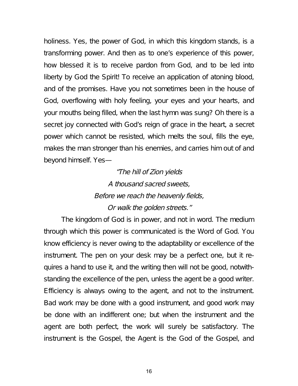holiness. Yes, the power of God, in which this kingdom stands, is a transforming power. And then as to one's experience of this power, how blessed it is to receive pardon from God, and to be led into liberty by God the Spirit! To receive an application of atoning blood, and of the promises. Have you not sometimes been in the house of God, overflowing with holy feeling, your eyes and your hearts, and your mouths being filled, when the last hymn was sung? Oh there is a secret joy connected with God's reign of grace in the heart, a secret power which cannot be resisted, which melts the soul, fills the eye, makes the man stronger than his enemies, and carries him out of and beyond himself. Yes—

> "The hill of Zion yields A thousand sacred sweets, Before we reach the heavenly fields, Or walk the golden streets."

The kingdom of God is in power, and not in word. The medium through which this power is communicated is the Word of God. You know efficiency is never owing to the adaptability or excellence of the instrument. The pen on your desk may be a perfect one, but it requires a hand to use it, and the writing then will not be good, notwithstanding the excellence of the pen, unless the agent be a good writer. Efficiency is always owing to the agent, and not to the instrument. Bad work may be done with a good instrument, and good work may be done with an indifferent one; but when the instrument and the agent are both perfect, the work will surely be satisfactory. The instrument is the Gospel, the Agent is the God of the Gospel, and